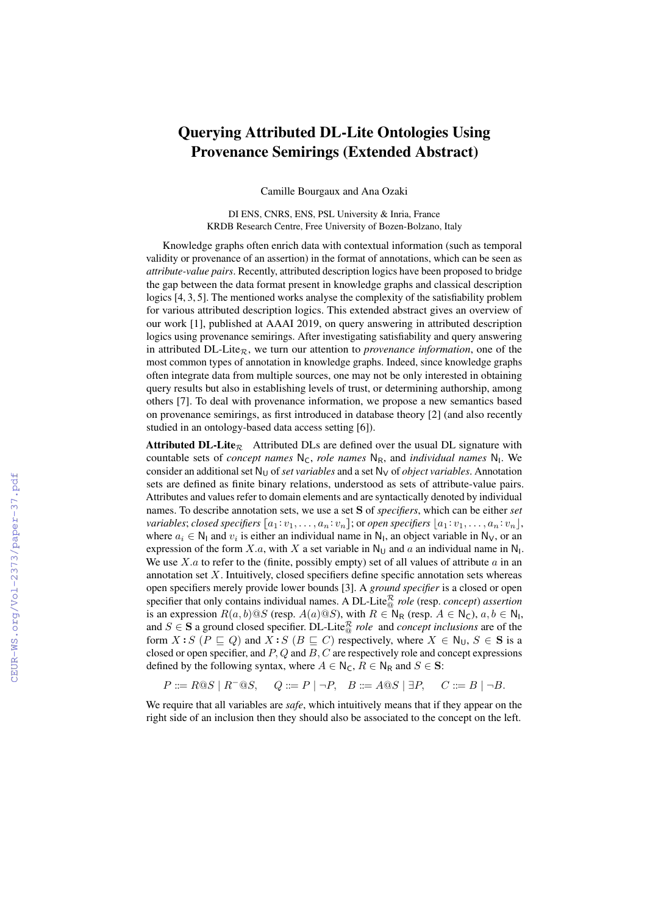## Querying Attributed DL-Lite Ontologies Using Provenance Semirings (Extended Abstract)

Camille Bourgaux and Ana Ozaki

DI ENS, CNRS, ENS, PSL University & Inria, France KRDB Research Centre, Free University of Bozen-Bolzano, Italy

Knowledge graphs often enrich data with contextual information (such as temporal validity or provenance of an assertion) in the format of annotations, which can be seen as *attribute-value pairs*. Recently, attributed description logics have been proposed to bridge the gap between the data format present in knowledge graphs and classical description logics [4, 3, 5]. The mentioned works analyse the complexity of the satisfiability problem for various attributed description logics. This extended abstract gives an overview of our work [1], published at AAAI 2019, on query answering in attributed description logics using provenance semirings. After investigating satisfiability and query answering in attributed  $DL\text{-}Lie_R$ , we turn our attention to *provenance information*, one of the most common types of annotation in knowledge graphs. Indeed, since knowledge graphs often integrate data from multiple sources, one may not be only interested in obtaining query results but also in establishing levels of trust, or determining authorship, among others [7]. To deal with provenance information, we propose a new semantics based on provenance semirings, as first introduced in database theory [2] (and also recently studied in an ontology-based data access setting [6]).

Attributed DL-Lite<sub>R</sub> Attributed DLs are defined over the usual DL signature with countable sets of *concept names* N<sub>C</sub>, *role names* N<sub>R</sub>, and *individual names* N<sub>I</sub>. We consider an additional set  $N_U$  of *set variables* and a set  $N_V$  of *object variables*. Annotation sets are defined as finite binary relations, understood as sets of attribute-value pairs. Attributes and values refer to domain elements and are syntactically denoted by individual names. To describe annotation sets, we use a set S of *specifiers*, which can be either *set variables*; *closed specifiers*  $[a_1 : v_1, \ldots, a_n : v_n]$ ; or *open specifiers*  $[a_1 : v_1, \ldots, a_n : v_n]$ , where  $a_i \in \mathbb{N}_1$  and  $v_i$  is either an individual name in  $\mathbb{N}_1$ , an object variable in  $\mathbb{N}_\mathsf{V}$ , or an expression of the form X.a, with X a set variable in  $\mathsf{N}_{\mathsf{U}}$  and a an individual name in  $\mathsf{N}_{\mathsf{I}}$ . We use  $X.a$  to refer to the (finite, possibly empty) set of all values of attribute  $a$  in an annotation set  $X$ . Intuitively, closed specifiers define specific annotation sets whereas open specifiers merely provide lower bounds [3]. A *ground specifier* is a closed or open specifier that only contains individual names. A DL-Lite<sup>R</sup> *role* (resp. *concept*) *assertion* is an expression  $R(a, b) @ S$  (resp.  $A(a) @ S$ ), with  $R \in \mathsf{N}_{\mathsf{R}}$  (resp.  $A \in \mathsf{N}_{\mathsf{C}}$ ),  $a, b \in \mathsf{N}_{\mathsf{I}}$ , and  $S \in \mathbf{S}$  a ground closed specifier. DL-Lite<sup>R</sup> *role* and *concept inclusions* are of the form  $X : S$  ( $P \sqsubseteq Q$ ) and  $X : S$  ( $B \sqsubseteq C$ ) respectively, where  $X \in N_U$ ,  $S \in S$  is a closed or open specifier, and  $P$ ,  $Q$  and  $B$ ,  $C$  are respectively role and concept expressions defined by the following syntax, where  $A \in N_C$ ,  $R \in N_R$  and  $S \in S$ :

 $P ::= R@S \mid R^-\t@S, \quad Q ::= P \mid \neg P, \quad B ::= A@S \mid \exists P, \quad C ::= B \mid \neg B.$ 

We require that all variables are *safe*, which intuitively means that if they appear on the right side of an inclusion then they should also be associated to the concept on the left.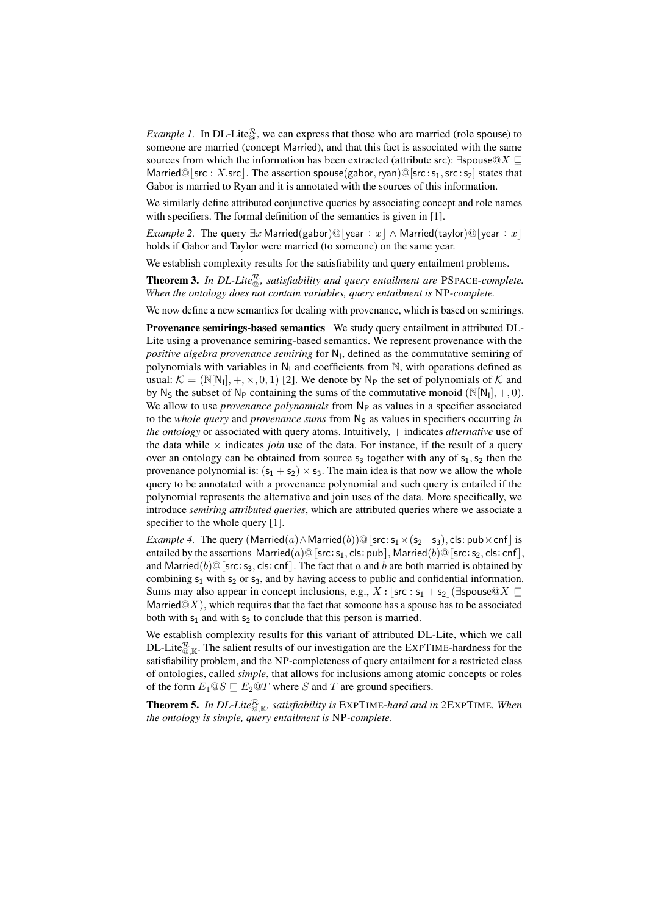*Example 1.* In DL-Lite<sup> $\mathcal{R}_{\text{o}}$ , we can express that those who are married (role spouse) to</sup> someone are married (concept Married), and that this fact is associated with the same sources from which the information has been extracted (attribute src):  $\exists$ spouse@X  $\sqsubseteq$ Married@|src : X.src|. The assertion spouse(gabor, ryan)@[src :  $s_1$ , src :  $s_2$ ] states that Gabor is married to Ryan and it is annotated with the sources of this information.

We similarly define attributed conjunctive queries by associating concept and role names with specifiers. The formal definition of the semantics is given in [1].

*Example 2.* The query  $\exists x \text{ Married(gabor)}@|year : x \land \text{Married(taylor)}@|year : x$ holds if Gabor and Taylor were married (to someone) on the same year.

We establish complexity results for the satisfiability and query entailment problems.

**Theorem 3.** In DL-Lite $^{\mathcal{R}}_{\mathcal{Q}}$ , satisfiability and query entailment are PSPACE-complete. *When the ontology does not contain variables, query entailment is* NP*-complete.*

We now define a new semantics for dealing with provenance, which is based on semirings.

Provenance semirings-based semantics We study query entailment in attributed DL-Lite using a provenance semiring-based semantics. We represent provenance with the positive algebra provenance semiring for N<sub>1</sub>, defined as the commutative semiring of polynomials with variables in  $N_1$  and coefficients from  $N$ , with operations defined as usual:  $K = (\mathbb{N}[N_1], +, \times, 0, 1)$  [2]. We denote by  $N_P$  the set of polynomials of K and by N<sub>S</sub> the subset of N<sub>P</sub> containing the sums of the commutative monoid  $(N[N_1], +, 0)$ . We allow to use *provenance polynomials* from N<sub>P</sub> as values in a specifier associated to the *whole query* and *provenance sums* from N<sub>S</sub> as values in specifiers occurring *in the ontology* or associated with query atoms. Intuitively, + indicates *alternative* use of the data while  $\times$  indicates *join* use of the data. For instance, if the result of a query over an ontology can be obtained from source  $s_3$  together with any of  $s_1, s_2$  then the provenance polynomial is:  $(s_1 + s_2) \times s_3$ . The main idea is that now we allow the whole query to be annotated with a provenance polynomial and such query is entailed if the polynomial represents the alternative and join uses of the data. More specifically, we introduce *semiring attributed queries*, which are attributed queries where we associate a specifier to the whole query [1].

*Example 4.* The query  $(Married(a) \wedge Married(b))@|src: s_1 \times (s_2 + s_3)$ , cls: pub×cnf | is entailed by the assertions Married(a)@[src:s<sub>1</sub>, cls: pub], Married(b)@[src:s<sub>2</sub>, cls: cnf], and Married(b)@[src: s<sub>3</sub>, cls: cnf]. The fact that a and b are both married is obtained by combining  $s_1$  with  $s_2$  or  $s_3$ , and by having access to public and confidential information. Sums may also appear in concept inclusions, e.g.,  $X : [src : s_1 + s_2](\exists$ spouse@ $X \sqsubseteq$ Married $@X$ ), which requires that the fact that someone has a spouse has to be associated both with  $s_1$  and with  $s_2$  to conclude that this person is married.

We establish complexity results for this variant of attributed DL-Lite, which we call DL-Lite $^{\mathcal{R}}_{@,\mathbb{K}}$ . The salient results of our investigation are the EXPTIME-hardness for the satisfiability problem, and the NP-completeness of query entailment for a restricted class of ontologies, called *simple*, that allows for inclusions among atomic concepts or roles of the form  $E_1@S \sqsubseteq E_2@T$  where S and T are ground specifiers.

**Theorem 5.** In DL-Lite $^{\mathcal{R}}_{\mathcal{Q},\mathbb{K}}$ , satisfiability is EXPTIME-hard and in 2EXPTIME. When *the ontology is simple, query entailment is* NP*-complete.*